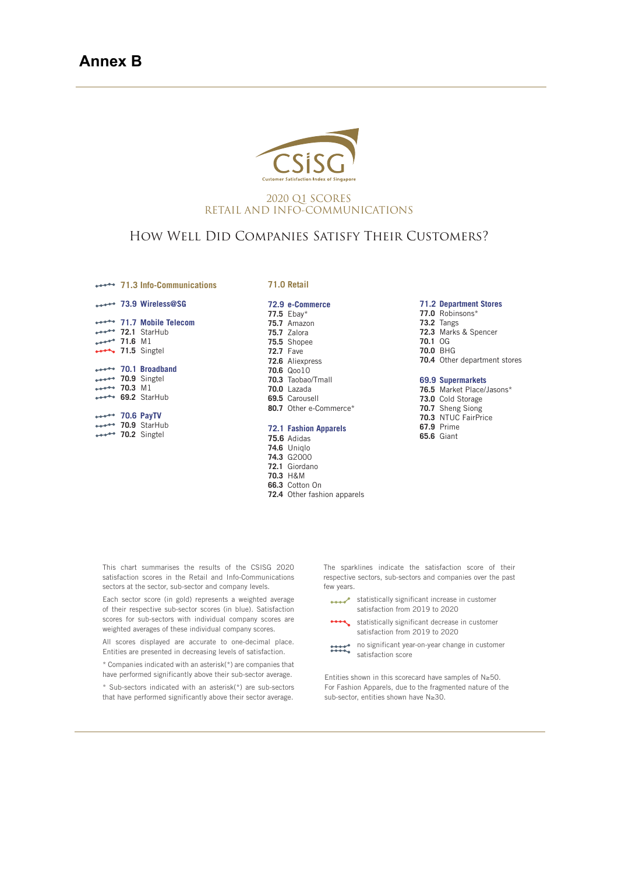

### 2020 Q1 SCORES RETAIL AND INFO-COMMUNICATIONS

# How Well Did Companies Satisfy Their Customers?

**71.3 Info-Communications**

|         | 73.9 Wireless@SG • • • • • • • • • •                         |
|---------|--------------------------------------------------------------|
|         | <b>External 71.7 Mobile Telecom</b>                          |
|         | ***** 72.1 StarHub                                           |
| 71.6 M1 |                                                              |
|         | $ 71.5$ Singtel                                              |
|         |                                                              |
|         | →→→→→ 70.1 Broadband                                         |
|         |                                                              |
|         |                                                              |
|         | 10.9 Singtel<br>***** 70.3 M1<br>***** 69.2 StarHub          |
|         |                                                              |
|         |                                                              |
|         |                                                              |
|         | ***** 70.6 PayTV<br>***** 70.9 StarHub<br>***** 70.2 Singtel |
|         |                                                              |

#### **71.0 Retail**

|                  | 72.9 e-Commerce              |
|------------------|------------------------------|
|                  | 77.5 $E$ bay*                |
|                  | 75.7 Amazon                  |
|                  | 75.7 Zalora                  |
|                  | 75.5 Shopee                  |
| <b>72.7 Fave</b> |                              |
|                  | <b>72.6</b> Aliexpress       |
|                  | 70.6 Qoo10                   |
|                  | 70.3 Taobao/Tmall            |
|                  | $70.0$ Lazada                |
|                  | 69.5 Carousell               |
|                  | 80.7 Other e-Commerce*       |
|                  |                              |
|                  | <b>72.1 Fashion Apparels</b> |

## **75.6** Adidas

- **74.6** Uniqlo
- **74.3** G2000
- **72.1** Giordano
- 
- **70.3** H&M
- **66.3** Cotton On **72.4** Other fashion apparels
- 

### **71.2 Department Stores**

- **77.0** Robinsons\* **73.2** Tangs **72.3** Marks & Spencer **70.1** OG
- **70.0** BHG
- **70.4** Other department stores

#### **69.9 Supermarkets**

**76.5** Market Place/Jasons\* **73.0** Cold Storage **70.7** Sheng Siong **70.3** NTUC FairPrice **67.9** Prime **65.6** Giant

This chart summarises the results of the CSISG 2020 satisfaction scores in the Retail and Info-Communications sectors at the sector, sub-sector and company levels.

Each sector score (in gold) represents a weighted average of their respective sub-sector scores (in blue). Satisfaction scores for sub-sectors with individual company scores are weighted averages of these individual company scores.

All scores displayed are accurate to one-decimal place. Entities are presented in decreasing levels of satisfaction.

\* Companies indicated with an asterisk(\*) are companies that have performed significantly above their sub-sector average.

\* Sub-sectors indicated with an asterisk(\*) are sub-sectors that have performed significantly above their sector average.

The sparklines indicate the satisfaction score of their respective sectors, sub-sectors and companies over the past few years.

- statistically significant increase in customer satisfaction from 2019 to 2020
	- statistically significant decrease in customer satisfaction from 2019 to 2020
- no significant year-on-year change in customer  $\frac{1}{2}$ satisfaction score

Entities shown in this scorecard have samples of  $N \geq 50$ . For Fashion Apparels, due to the fragmented nature of the sub-sector, entities shown have N≥30.